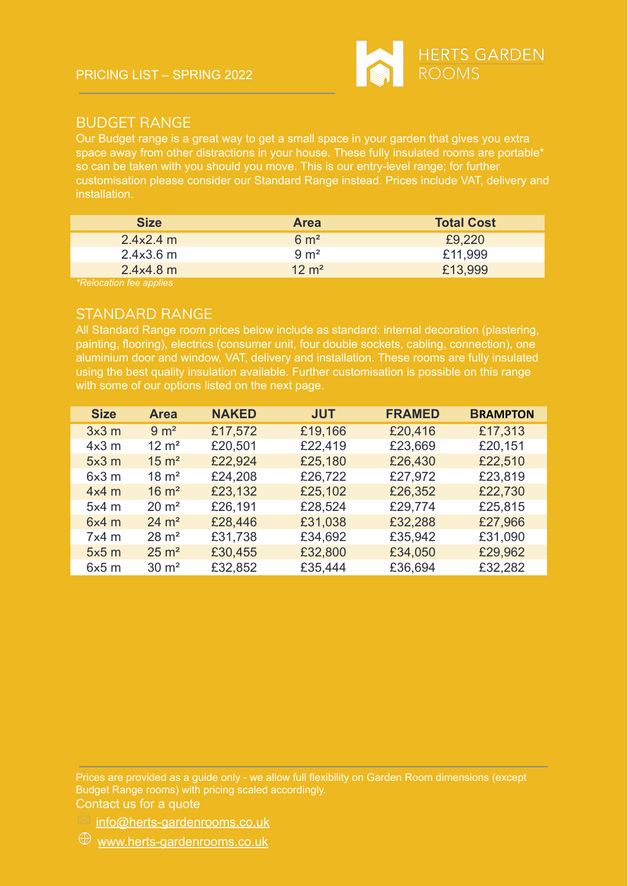

## [BUDGET](https://www.herts-gardenrooms.co.uk/designs/budget-range/) RANGE

Our Budget range is a great way to get a small space in your garden that gives you extra space away from other distractions in your house. These fully insulated rooms are portable\* so can be taken with you should you move. This is our entry-level range; for further customisation please consider our Standard Range instead. Prices include VAT, delivery and installation.

| <b>Area</b>        | <b>Total Cost</b> |
|--------------------|-------------------|
| $6 \text{ m}^2$    | £9,220            |
| $9 \text{ m}^2$    | £11,999           |
| $12 \; \text{m}^2$ | £13,999           |
|                    |                   |

*\*Relocation fee applies*

## [STANDARD](https://www.herts-gardenrooms.co.uk/designs/standard-range/) RANGE

All Standard Range room prices below include as standard: internal decoration (plastering, painting, flooring), electrics (consumer unit, four double sockets, cabling, connection), one aluminium door and window, VAT, delivery and installation. These rooms are fully insulated using the best quality insulation available. Further customisation is possible on this range with some of our options listed on the next page.

| <b>Size</b> | <b>Area</b>      | <b>NAKED</b> | <b>JUT</b> | <b>FRAMED</b> | <b>BRAMPTON</b> |
|-------------|------------------|--------------|------------|---------------|-----------------|
| 3x3m        | $9 \text{ m}^2$  | £17,572      | £19,166    | £20,416       | £17,313         |
| $4x3$ m     | $12 \text{ m}^2$ | £20,501      | £22,419    | £23,669       | £20,151         |
| 5x3m        | $15 \text{ m}^2$ | £22,924      | £25,180    | £26,430       | £22,510         |
| 6x3m        | $18 \text{ m}^2$ | £24,208      | £26,722    | £27,972       | £23,819         |
| $4x4$ m     | $16 \text{ m}^2$ | £23,132      | £25,102    | £26,352       | £22,730         |
| $5x4$ m     | $20 \text{ m}^2$ | £26,191      | £28,524    | £29,774       | £25,815         |
| 6x4m        | $24 \text{ m}^2$ | £28,446      | £31,038    | £32,288       | £27,966         |
| $7x4$ m     | $28 \text{ m}^2$ | £31,738      | £34,692    | £35,942       | £31,090         |
| 5x5m        | $25 \text{ m}^2$ | £30,455      | £32,800    | £34,050       | £29,962         |
| 6x5m        | $30 \text{ m}^2$ | £32,852      | £35,444    | £36,694       | £32,282         |

Prices are provided as a guide only - we allow full flexibility on Garden Room dimensions (except Budget Range rooms) with pricing scaled accordingly.

Contact us for a quote

 $\mathbb{K}$  [info@herts-gardenrooms.co.uk](mailto:info@herts-gardenrooms.co.uk?subject=Garden%20Room%20Enquiry)

 $\mathcal{D}$  [www.herts-gardenrooms.co.uk](https://www.herts-gardenrooms.co.uk/)